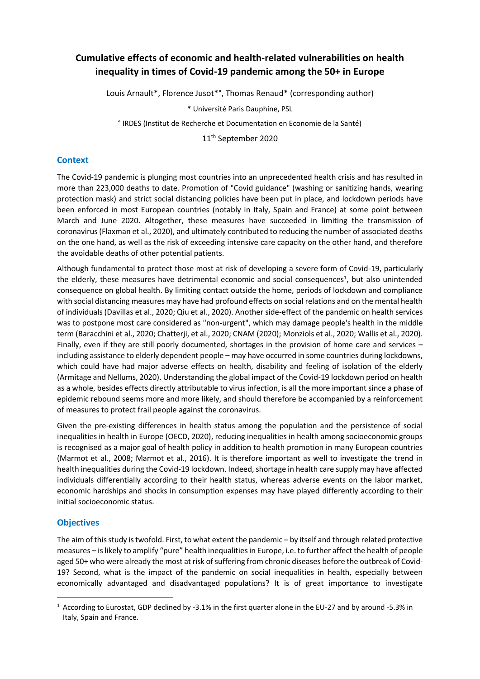# **Cumulative effects of economic and health-related vulnerabilities on health inequality in times of Covid-19 pandemic among the 50+ in Europe**

Louis Arnault\*, Florence Jusot\*°, Thomas Renaud\* (corresponding author)

\* Université Paris Dauphine, PSL

° IRDES (Institut de Recherche et Documentation en Economie de la Santé)

11 th September 2020

## **Context**

The Covid-19 pandemic is plunging most countries into an unprecedented health crisis and has resulted in more than 223,000 deaths to date. Promotion of "Covid guidance" (washing or sanitizing hands, wearing protection mask) and strict social distancing policies have been put in place, and lockdown periods have been enforced in most European countries (notably in Italy, Spain and France) at some point between March and June 2020. Altogether, these measures have succeeded in limiting the transmission of coronavirus (Flaxman et al., 2020), and ultimately contributed to reducing the number of associated deaths on the one hand, as well as the risk of exceeding intensive care capacity on the other hand, and therefore the avoidable deaths of other potential patients.

Although fundamental to protect those most at risk of developing a severe form of Covid-19, particularly the elderly, these measures have detrimental economic and social consequences<sup>1</sup>, but also unintended consequence on global health. By limiting contact outside the home, periods of lockdown and compliance with social distancing measures may have had profound effects on social relations and on the mental health of individuals (Davillas et al., 2020; Qiu et al., 2020). Another side-effect of the pandemic on health services was to postpone most care considered as "non-urgent", which may damage people's health in the middle term (Baracchini et al., 2020; Chatterji, et al., 2020; CNAM (2020); Monziols et al., 2020; Wallis et al., 2020). Finally, even if they are still poorly documented, shortages in the provision of home care and services – including assistance to elderly dependent people – may have occurred in some countries during lockdowns, which could have had major adverse effects on health, disability and feeling of isolation of the elderly (Armitage and Nellums, 2020). Understanding the global impact of the Covid-19 lockdown period on health as a whole, besides effects directly attributable to virus infection, is all the more important since a phase of epidemic rebound seems more and more likely, and should therefore be accompanied by a reinforcement of measures to protect frail people against the coronavirus.

Given the pre-existing differences in health status among the population and the persistence of social inequalities in health in Europe (OECD, 2020), reducing inequalities in health among socioeconomic groups is recognised as a major goal of health policy in addition to health promotion in many European countries (Marmot et al., 2008; Marmot et al., 2016). It is therefore important as well to investigate the trend in health inequalities during the Covid-19 lockdown. Indeed, shortage in health care supply may have affected individuals differentially according to their health status, whereas adverse events on the labor market, economic hardships and shocks in consumption expenses may have played differently according to their initial socioeconomic status.

## **Objectives**

The aim of this study is twofold. First, to what extent the pandemic – by itself and through related protective measures – is likely to amplify "pure" health inequalities in Europe, i.e. to further affect the health of people aged 50+ who were already the most at risk of suffering from chronic diseases before the outbreak of Covid-19? Second, what is the impact of the pandemic on social inequalities in health, especially between economically advantaged and disadvantaged populations? It is of great importance to investigate

<sup>1</sup> According to Eurostat, GDP declined by -3.1% in the first quarter alone in the EU-27 and by around -5.3% in Italy, Spain and France.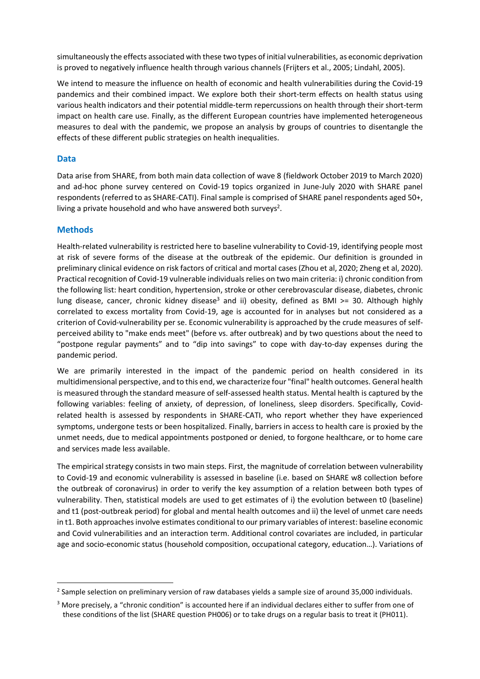simultaneously the effects associated with these two types of initial vulnerabilities, as economic deprivation is proved to negatively influence health through various channels (Frijters et al., 2005; Lindahl, 2005).

We intend to measure the influence on health of economic and health vulnerabilities during the Covid-19 pandemics and their combined impact. We explore both their short-term effects on health status using various health indicators and their potential middle-term repercussions on health through their short-term impact on health care use. Finally, as the different European countries have implemented heterogeneous measures to deal with the pandemic, we propose an analysis by groups of countries to disentangle the effects of these different public strategies on health inequalities.

#### **Data**

Data arise from SHARE, from both main data collection of wave 8 (fieldwork October 2019 to March 2020) and ad-hoc phone survey centered on Covid-19 topics organized in June-July 2020 with SHARE panel respondents (referred to as SHARE-CATI). Final sample is comprised of SHARE panel respondents aged 50+, living a private household and who have answered both surveys<sup>2</sup>.

#### **Methods**

Health-related vulnerability is restricted here to baseline vulnerability to Covid-19, identifying people most at risk of severe forms of the disease at the outbreak of the epidemic. Our definition is grounded in preliminary clinical evidence on risk factors of critical and mortal cases (Zhou et al, 2020; Zheng et al, 2020). Practical recognition of Covid-19 vulnerable individuals relies on two main criteria: i) chronic condition from the following list: heart condition, hypertension, stroke or other cerebrovascular disease, diabetes, chronic lung disease, cancer, chronic kidney disease<sup>3</sup> and ii) obesity, defined as BMI  $>=$  30. Although highly correlated to excess mortality from Covid-19, age is accounted for in analyses but not considered as a criterion of Covid-vulnerability per se. Economic vulnerability is approached by the crude measures of selfperceived ability to "make ends meet" (before vs. after outbreak) and by two questions about the need to "postpone regular payments" and to "dip into savings" to cope with day-to-day expenses during the pandemic period.

We are primarily interested in the impact of the pandemic period on health considered in its multidimensional perspective, and to this end, we characterize four "final" health outcomes. General health is measured through the standard measure of self-assessed health status. Mental health is captured by the following variables: feeling of anxiety, of depression, of loneliness, sleep disorders. Specifically, Covidrelated health is assessed by respondents in SHARE-CATI, who report whether they have experienced symptoms, undergone tests or been hospitalized. Finally, barriers in access to health care is proxied by the unmet needs, due to medical appointments postponed or denied, to forgone healthcare, or to home care and services made less available.

The empirical strategy consists in two main steps. First, the magnitude of correlation between vulnerability to Covid-19 and economic vulnerability is assessed in baseline (i.e. based on SHARE w8 collection before the outbreak of coronavirus) in order to verify the key assumption of a relation between both types of vulnerability. Then, statistical models are used to get estimates of i) the evolution between t0 (baseline) and t1 (post-outbreak period) for global and mental health outcomes and ii) the level of unmet care needs in t1. Both approaches involve estimates conditional to our primary variables of interest: baseline economic and Covid vulnerabilities and an interaction term. Additional control covariates are included, in particular age and socio-economic status (household composition, occupational category, education…). Variations of

 $^2$  Sample selection on preliminary version of raw databases yields a sample size of around 35,000 individuals.

<sup>&</sup>lt;sup>3</sup> More precisely, a "chronic condition" is accounted here if an individual declares either to suffer from one of these conditions of the list (SHARE question PH006) or to take drugs on a regular basis to treat it (PH011).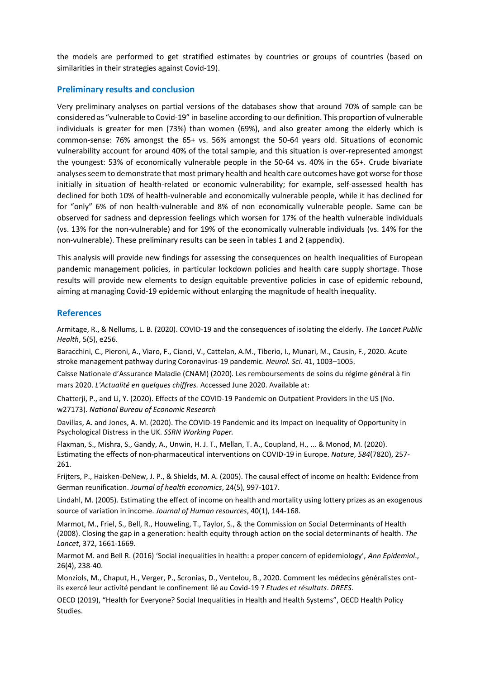the models are performed to get stratified estimates by countries or groups of countries (based on similarities in their strategies against Covid-19).

#### **Preliminary results and conclusion**

Very preliminary analyses on partial versions of the databases show that around 70% of sample can be considered as "vulnerable to Covid-19" in baseline according to our definition. This proportion of vulnerable individuals is greater for men (73%) than women (69%), and also greater among the elderly which is common-sense: 76% amongst the 65+ vs. 56% amongst the 50-64 years old. Situations of economic vulnerability account for around 40% of the total sample, and this situation is over-represented amongst the youngest: 53% of economically vulnerable people in the 50-64 vs. 40% in the 65+. Crude bivariate analyses seem to demonstrate that most primary health and health care outcomes have got worse for those initially in situation of health-related or economic vulnerability; for example, self-assessed health has declined for both 10% of health-vulnerable and economically vulnerable people, while it has declined for for "only" 6% of non health-vulnerable and 8% of non economically vulnerable people. Same can be observed for sadness and depression feelings which worsen for 17% of the health vulnerable individuals (vs. 13% for the non-vulnerable) and for 19% of the economically vulnerable individuals (vs. 14% for the non-vulnerable). These preliminary results can be seen in tables 1 and 2 (appendix).

This analysis will provide new findings for assessing the consequences on health inequalities of European pandemic management policies, in particular lockdown policies and health care supply shortage. Those results will provide new elements to design equitable preventive policies in case of epidemic rebound, aiming at managing Covid-19 epidemic without enlarging the magnitude of health inequality.

## **References**

Armitage, R., & Nellums, L. B. (2020). COVID-19 and the consequences of isolating the elderly. *The Lancet Public Health*, 5(5), e256.

Baracchini, C., Pieroni, A., Viaro, F., Cianci, V., Cattelan, A.M., Tiberio, I., Munari, M., Causin, F., 2020. Acute stroke management pathway during Coronavirus-19 pandemic. *Neurol. Sci.* 41, 1003–1005.

Caisse Nationale d'Assurance Maladie (CNAM) (2020)*.* Les remboursements de soins du régime général à fin mars 2020. *L'Actualité en quelques chiffres.* Accessed June 2020. Available at:

Chatterji, P., and Li, Y. (2020). Effects of the COVID-19 Pandemic on Outpatient Providers in the US (No. w27173). *National Bureau of Economic Research*

Davillas, A. and Jones, A. M. (2020). The COVID-19 Pandemic and its Impact on Inequality of Opportunity in Psychological Distress in the UK. *SSRN Working Paper.* 

Flaxman, S., Mishra, S., Gandy, A., Unwin, H. J. T., Mellan, T. A., Coupland, H., ... & Monod, M. (2020). Estimating the effects of non-pharmaceutical interventions on COVID-19 in Europe. *Nature*, *584*(7820), 257- 261.

Frijters, P., Haisken-DeNew, J. P., & Shields, M. A. (2005). The causal effect of income on health: Evidence from German reunification. *Journal of health economics*, 24(5), 997-1017.

Lindahl, M. (2005). Estimating the effect of income on health and mortality using lottery prizes as an exogenous source of variation in income. *Journal of Human resources*, 40(1), 144-168.

Marmot, M., Friel, S., Bell, R., Houweling, T., Taylor, S., & the Commission on Social Determinants of Health (2008). Closing the gap in a generation: health equity through action on the social determinants of health. *The Lancet*, 372, 1661-1669.

Marmot M. and Bell R. (2016) 'Social inequalities in health: a proper concern of epidemiology', *Ann Epidemiol*., 26(4), 238-40.

Monziols, M., Chaput, H., Verger, P., Scronias, D., Ventelou, B., 2020. Comment les médecins généralistes ontils exercé leur activité pendant le confinement lié au Covid-19 ? *Etudes et résultats*. *DREES*.

OECD (2019), "Health for Everyone? Social Inequalities in Health and Health Systems", OECD Health Policy Studies.